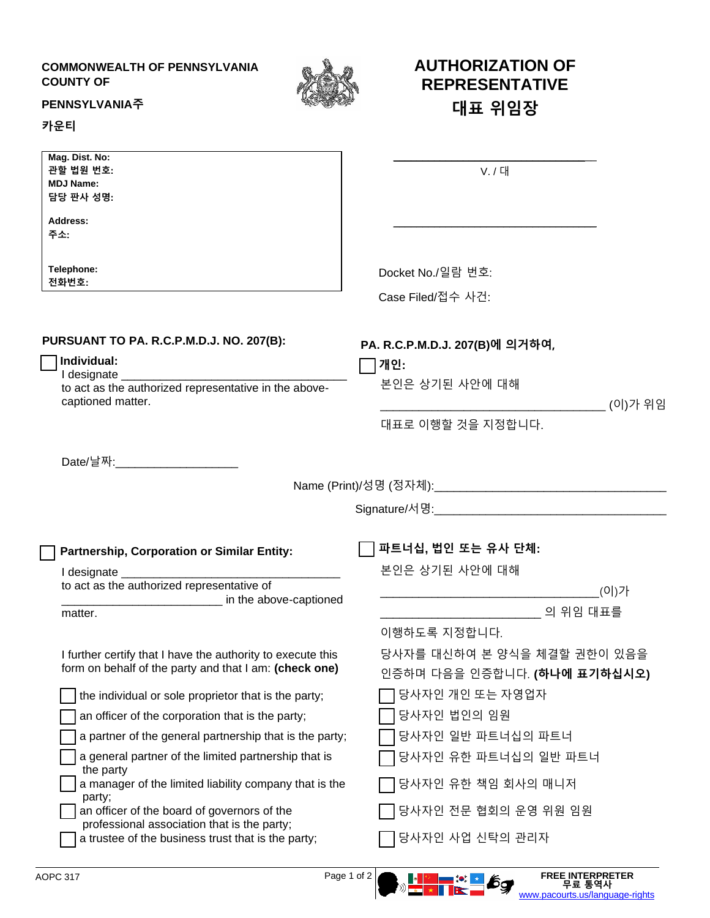## **COMMONWEALTH OF PENNSYLVANIA COUNTY OF**



**AUTHORIZATION OF REPRESENTATIVE**

**대표 위임장**

## **PENNSYLVANIA주**

## **카운티**

| Mag. Dist. No:<br>관할 법원 번호:<br><b>MDJ Name:</b><br>담당 판사 성명:                                                          | V. / 대                                                      |
|-----------------------------------------------------------------------------------------------------------------------|-------------------------------------------------------------|
| Address:<br>주소:                                                                                                       |                                                             |
| Telephone:<br>전화번호:                                                                                                   | Docket No./일람 번호:<br>Case Filed/접수 사건:                      |
| PURSUANT TO PA. R.C.P.M.D.J. NO. 207(B):<br>Individual:<br>I designate ___________                                    | PA. R.C.P.M.D.J. 207(B)에 의거하여,<br> 개인:<br>본인은 상기된 사안에 대해    |
| to act as the authorized representative in the above-<br>captioned matter.                                            | (이)가 위임                                                     |
|                                                                                                                       | 대표로 이행할 것을 지정합니다.                                           |
| $Date/م \overline{\mathbb{W}}$ :                                                                                      |                                                             |
| Partnership, Corporation or Similar Entity:                                                                           | 파트너십, 법인 또는 유사 단체:                                          |
| I designate __________                                                                                                | 본인은 상기된 사안에 대해                                              |
| to act as the authorized representative of<br>in the above-captioned                                                  | .(이)가                                                       |
| matter.                                                                                                               | 이행하도록 지정합니다.                                                |
| I further certify that I have the authority to execute this<br>form on behalf of the party and that I am: (check one) | 당사자를 대신하여 본 양식을 체결할 권한이 있음을<br>인증하며 다음을 인증합니다. (하나에 표기하십시오) |
| the individual or sole proprietor that is the party;                                                                  | 당사자인 개인 또는 자영업자                                             |
| an officer of the corporation that is the party;                                                                      | 당사자인 법인의 임원                                                 |
| a partner of the general partnership that is the party;                                                               | 당사자인 일반 파트너십의 파트너                                           |
| a general partner of the limited partnership that is<br>the party                                                     | 당사자인 유한 파트너십의 일반 파트너                                        |
| a manager of the limited liability company that is the<br>party;                                                      | 당사자인 유한 책임 회사의 매니저                                          |
| an officer of the board of governors of the<br>professional association that is the party;                            | 당사자인 전문 협회의 운영 위원 임원                                        |
| a trustee of the business trust that is the party;                                                                    | 당사자인 사업 신탁의 관리자                                             |

AOPC 317 Page 1 of 2 **FREE INTERPRETER 무료 통역사** [www.pacourts.us/language-rights](http://www.pacourts.us/language-rights)